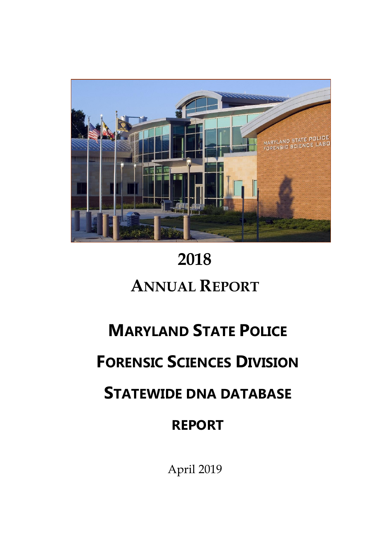

# **2018 ANNUAL REPORT**

# **MARYLAND STATE POLICE**

# **FORENSIC SCIENCES DIVISION**

## **STATEWIDE DNA DATABASE**

## **REPORT**

April 2019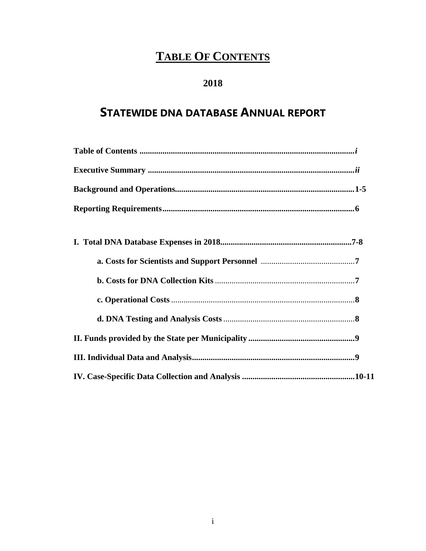## **TABLE OF CONTENTS**

### **2018**

### **STATEWIDE DNA DATABASE ANNUAL REPORT**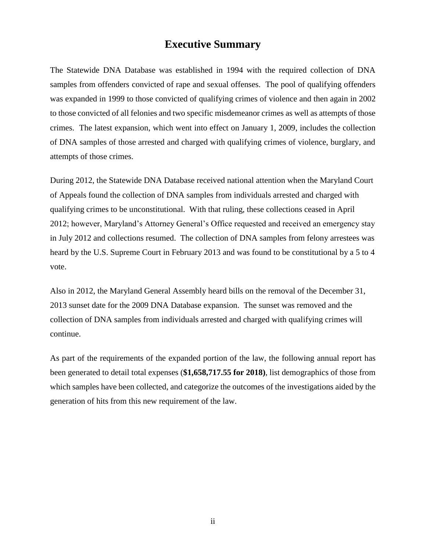### **Executive Summary**

The Statewide DNA Database was established in 1994 with the required collection of DNA samples from offenders convicted of rape and sexual offenses. The pool of qualifying offenders was expanded in 1999 to those convicted of qualifying crimes of violence and then again in 2002 to those convicted of all felonies and two specific misdemeanor crimes as well as attempts of those crimes. The latest expansion, which went into effect on January 1, 2009, includes the collection of DNA samples of those arrested and charged with qualifying crimes of violence, burglary, and attempts of those crimes.

During 2012, the Statewide DNA Database received national attention when the Maryland Court of Appeals found the collection of DNA samples from individuals arrested and charged with qualifying crimes to be unconstitutional. With that ruling, these collections ceased in April 2012; however, Maryland's Attorney General's Office requested and received an emergency stay in July 2012 and collections resumed. The collection of DNA samples from felony arrestees was heard by the U.S. Supreme Court in February 2013 and was found to be constitutional by a 5 to 4 vote.

Also in 2012, the Maryland General Assembly heard bills on the removal of the December 31, 2013 sunset date for the 2009 DNA Database expansion. The sunset was removed and the collection of DNA samples from individuals arrested and charged with qualifying crimes will continue.

As part of the requirements of the expanded portion of the law, the following annual report has been generated to detail total expenses (**\$1,658,717.55 for 2018)**, list demographics of those from which samples have been collected, and categorize the outcomes of the investigations aided by the generation of hits from this new requirement of the law.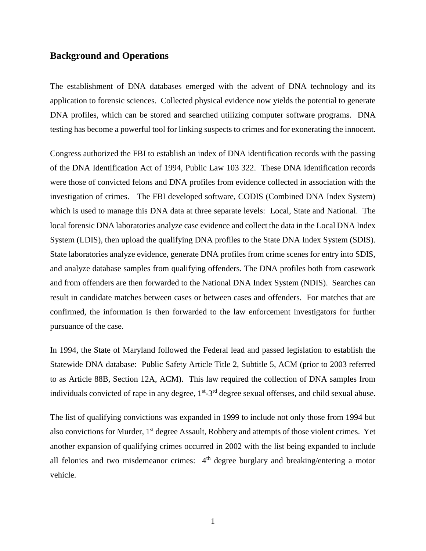#### **Background and Operations**

The establishment of DNA databases emerged with the advent of DNA technology and its application to forensic sciences. Collected physical evidence now yields the potential to generate DNA profiles, which can be stored and searched utilizing computer software programs. DNA testing has become a powerful tool for linking suspects to crimes and for exonerating the innocent.

Congress authorized the FBI to establish an index of DNA identification records with the passing of the DNA Identification Act of 1994, Public Law 103 322. These DNA identification records were those of convicted felons and DNA profiles from evidence collected in association with the investigation of crimes. The FBI developed software, CODIS (Combined DNA Index System) which is used to manage this DNA data at three separate levels: Local, State and National. The local forensic DNA laboratories analyze case evidence and collect the data in the Local DNA Index System (LDIS), then upload the qualifying DNA profiles to the State DNA Index System (SDIS). State laboratories analyze evidence, generate DNA profiles from crime scenes for entry into SDIS, and analyze database samples from qualifying offenders. The DNA profiles both from casework and from offenders are then forwarded to the National DNA Index System (NDIS). Searches can result in candidate matches between cases or between cases and offenders. For matches that are confirmed, the information is then forwarded to the law enforcement investigators for further pursuance of the case.

In 1994, the State of Maryland followed the Federal lead and passed legislation to establish the Statewide DNA database: Public Safety Article Title 2, Subtitle 5, ACM (prior to 2003 referred to as Article 88B, Section 12A, ACM). This law required the collection of DNA samples from individuals convicted of rape in any degree, 1<sup>st</sup>-3<sup>rd</sup> degree sexual offenses, and child sexual abuse.

The list of qualifying convictions was expanded in 1999 to include not only those from 1994 but also convictions for Murder, 1<sup>st</sup> degree Assault, Robbery and attempts of those violent crimes. Yet another expansion of qualifying crimes occurred in 2002 with the list being expanded to include all felonies and two misdemeanor crimes:  $4<sup>th</sup>$  degree burglary and breaking/entering a motor vehicle.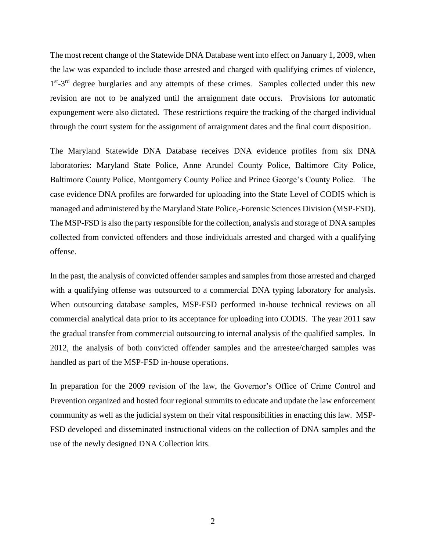The most recent change of the Statewide DNA Database went into effect on January 1, 2009, when the law was expanded to include those arrested and charged with qualifying crimes of violence, 1<sup>st</sup>-3<sup>rd</sup> degree burglaries and any attempts of these crimes. Samples collected under this new revision are not to be analyzed until the arraignment date occurs. Provisions for automatic expungement were also dictated. These restrictions require the tracking of the charged individual through the court system for the assignment of arraignment dates and the final court disposition.

The Maryland Statewide DNA Database receives DNA evidence profiles from six DNA laboratories: Maryland State Police, Anne Arundel County Police, Baltimore City Police, Baltimore County Police, Montgomery County Police and Prince George's County Police. The case evidence DNA profiles are forwarded for uploading into the State Level of CODIS which is managed and administered by the Maryland State Police,-Forensic Sciences Division (MSP-FSD). The MSP-FSD is also the party responsible for the collection, analysis and storage of DNA samples collected from convicted offenders and those individuals arrested and charged with a qualifying offense.

In the past, the analysis of convicted offender samples and samples from those arrested and charged with a qualifying offense was outsourced to a commercial DNA typing laboratory for analysis. When outsourcing database samples, MSP-FSD performed in-house technical reviews on all commercial analytical data prior to its acceptance for uploading into CODIS. The year 2011 saw the gradual transfer from commercial outsourcing to internal analysis of the qualified samples. In 2012, the analysis of both convicted offender samples and the arrestee/charged samples was handled as part of the MSP-FSD in-house operations.

In preparation for the 2009 revision of the law, the Governor's Office of Crime Control and Prevention organized and hosted four regional summits to educate and update the law enforcement community as well as the judicial system on their vital responsibilities in enacting this law. MSP-FSD developed and disseminated instructional videos on the collection of DNA samples and the use of the newly designed DNA Collection kits.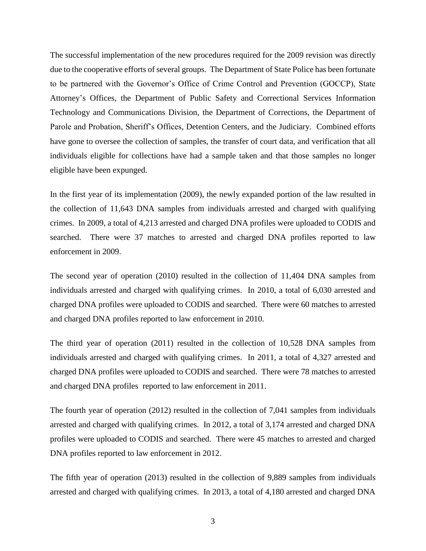The successful implementation of the new procedures required for the 2009 revision was directly due to the cooperative efforts of several groups. The Department of State Police has been fortunate to be partnered with the Governor's Office of Crime Control and Prevention (GOCCP), State Attorney's Offices, the Department of Public Safety and Correctional Services Information Technology and Communications Division, the Department of Corrections, the Department of Parole and Probation, Sheriff's Offices, Detention Centers, and the Judiciary. Combined efforts have gone to oversee the collection of samples, the transfer of court data, and verification that all individuals eligible for collections have had a sample taken and that those samples no longer eligible have been expunged.

In the first year of its implementation (2009), the newly expanded portion of the law resulted in the collection of 11,643 DNA samples from individuals arrested and charged with qualifying crimes. In 2009, a total of 4,213 arrested and charged DNA profiles were uploaded to CODIS and searched. There were 37 matches to arrested and charged DNA profiles reported to law enforcement in 2009.

The second year of operation (2010) resulted in the collection of 11,404 DNA samples from individuals arrested and charged with qualifying crimes. In 2010, a total of 6,030 arrested and charged DNA profiles were uploaded to CODIS and searched. There were 60 matches to arrested and charged DNA profiles reported to law enforcement in 2010.

The third year of operation (2011) resulted in the collection of 10,528 DNA samples from individuals arrested and charged with qualifying crimes. In 2011, a total of 4,327 arrested and charged DNA profiles were uploaded to CODIS and searched. There were 78 matches to arrested and charged DNA profiles reported to law enforcement in 2011.

The fourth year of operation (2012) resulted in the collection of 7,041 samples from individuals arrested and charged with qualifying crimes. In 2012, a total of 3,174 arrested and charged DNA profiles were uploaded to CODIS and searched. There were 45 matches to arrested and charged DNA profiles reported to law enforcement in 2012.

The fifth year of operation (2013) resulted in the collection of 9,889 samples from individuals arrested and charged with qualifying crimes. In 2013, a total of 4,180 arrested and charged DNA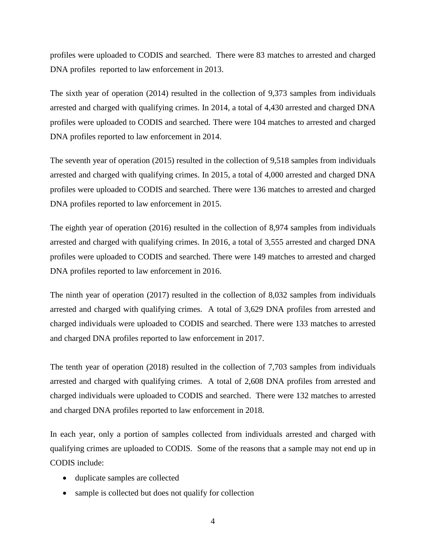profiles were uploaded to CODIS and searched. There were 83 matches to arrested and charged DNA profiles reported to law enforcement in 2013.

The sixth year of operation (2014) resulted in the collection of 9,373 samples from individuals arrested and charged with qualifying crimes. In 2014, a total of 4,430 arrested and charged DNA profiles were uploaded to CODIS and searched. There were 104 matches to arrested and charged DNA profiles reported to law enforcement in 2014.

The seventh year of operation (2015) resulted in the collection of 9,518 samples from individuals arrested and charged with qualifying crimes. In 2015, a total of 4,000 arrested and charged DNA profiles were uploaded to CODIS and searched. There were 136 matches to arrested and charged DNA profiles reported to law enforcement in 2015.

The eighth year of operation (2016) resulted in the collection of 8,974 samples from individuals arrested and charged with qualifying crimes. In 2016, a total of 3,555 arrested and charged DNA profiles were uploaded to CODIS and searched. There were 149 matches to arrested and charged DNA profiles reported to law enforcement in 2016.

The ninth year of operation (2017) resulted in the collection of 8,032 samples from individuals arrested and charged with qualifying crimes. A total of 3,629 DNA profiles from arrested and charged individuals were uploaded to CODIS and searched. There were 133 matches to arrested and charged DNA profiles reported to law enforcement in 2017.

The tenth year of operation (2018) resulted in the collection of 7,703 samples from individuals arrested and charged with qualifying crimes. A total of 2,608 DNA profiles from arrested and charged individuals were uploaded to CODIS and searched. There were 132 matches to arrested and charged DNA profiles reported to law enforcement in 2018.

In each year, only a portion of samples collected from individuals arrested and charged with qualifying crimes are uploaded to CODIS. Some of the reasons that a sample may not end up in CODIS include:

- duplicate samples are collected
- sample is collected but does not qualify for collection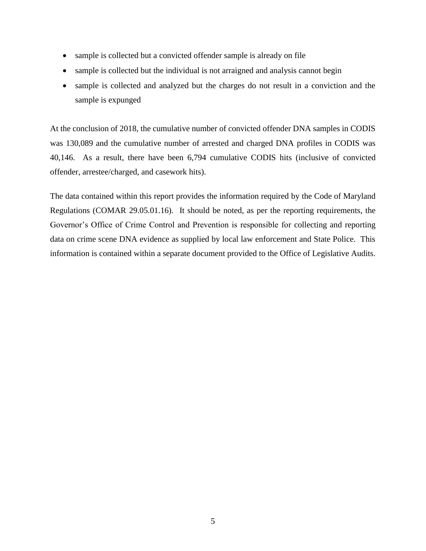- sample is collected but a convicted offender sample is already on file
- sample is collected but the individual is not arraigned and analysis cannot begin
- sample is collected and analyzed but the charges do not result in a conviction and the sample is expunged

At the conclusion of 2018, the cumulative number of convicted offender DNA samples in CODIS was 130,089 and the cumulative number of arrested and charged DNA profiles in CODIS was 40,146. As a result, there have been 6,794 cumulative CODIS hits (inclusive of convicted offender, arrestee/charged, and casework hits).

The data contained within this report provides the information required by the Code of Maryland Regulations (COMAR 29.05.01.16). It should be noted, as per the reporting requirements, the Governor's Office of Crime Control and Prevention is responsible for collecting and reporting data on crime scene DNA evidence as supplied by local law enforcement and State Police. This information is contained within a separate document provided to the Office of Legislative Audits.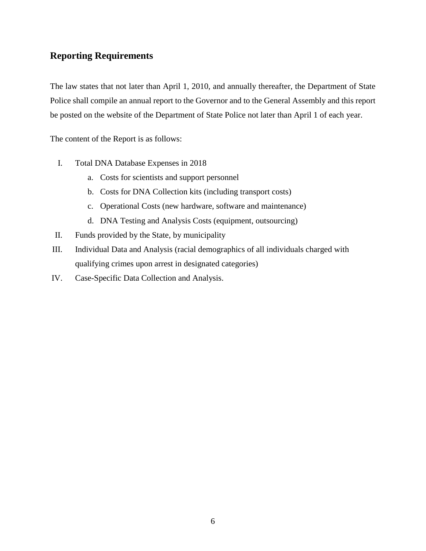#### **Reporting Requirements**

The law states that not later than April 1, 2010, and annually thereafter, the Department of State Police shall compile an annual report to the Governor and to the General Assembly and this report be posted on the website of the Department of State Police not later than April 1 of each year.

The content of the Report is as follows:

- I. Total DNA Database Expenses in 2018
	- a. Costs for scientists and support personnel
	- b. Costs for DNA Collection kits (including transport costs)
	- c. Operational Costs (new hardware, software and maintenance)
	- d. DNA Testing and Analysis Costs (equipment, outsourcing)
- II. Funds provided by the State, by municipality
- III. Individual Data and Analysis (racial demographics of all individuals charged with qualifying crimes upon arrest in designated categories)
- IV. Case-Specific Data Collection and Analysis.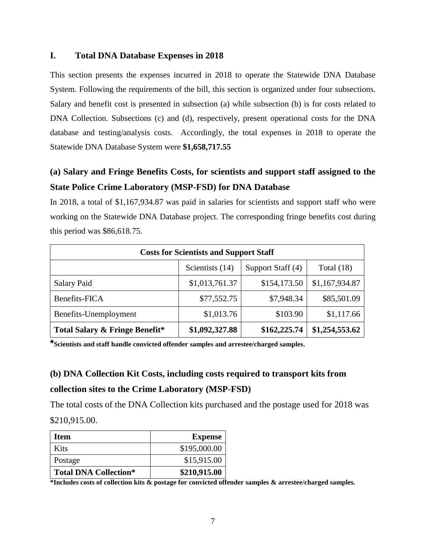#### **I. Total DNA Database Expenses in 2018**

This section presents the expenses incurred in 2018 to operate the Statewide DNA Database System. Following the requirements of the bill, this section is organized under four subsections. Salary and benefit cost is presented in subsection (a) while subsection (b) is for costs related to DNA Collection. Subsections (c) and (d), respectively, present operational costs for the DNA database and testing/analysis costs. Accordingly, the total expenses in 2018 to operate the Statewide DNA Database System were **\$1,658,717.55**

### **(a) Salary and Fringe Benefits Costs, for scientists and support staff assigned to the State Police Crime Laboratory (MSP-FSD) for DNA Database**

In 2018, a total of \$1,167,934.87 was paid in salaries for scientists and support staff who were working on the Statewide DNA Database project. The corresponding fringe benefits cost during this period was \$86,618.75.

| <b>Costs for Scientists and Support Staff</b>        |                |              |                |  |  |  |  |
|------------------------------------------------------|----------------|--------------|----------------|--|--|--|--|
| Scientists (14)<br>Support Staff (4)<br>Total $(18)$ |                |              |                |  |  |  |  |
| <b>Salary Paid</b>                                   | \$1,013,761.37 | \$154,173.50 | \$1,167,934.87 |  |  |  |  |
| Benefits-FICA                                        | \$77,552.75    | \$7,948.34   | \$85,501.09    |  |  |  |  |
| Benefits-Unemployment                                | \$1,013.76     | \$103.90     | \$1,117.66     |  |  |  |  |
| <b>Total Salary &amp; Fringe Benefit*</b>            | \$1,092,327.88 | \$162,225.74 | \$1,254,553.62 |  |  |  |  |

**\*Scientists and staff handle convicted offender samples and arrestee/charged samples.**

### **(b) DNA Collection Kit Costs, including costs required to transport kits from collection sites to the Crime Laboratory (MSP-FSD)**

The total costs of the DNA Collection kits purchased and the postage used for 2018 was \$210,915.00.

| Item                         | <b>Expense</b> |
|------------------------------|----------------|
| Kits                         | \$195,000.00   |
| Postage                      | \$15,915.00    |
| <b>Total DNA Collection*</b> | \$210,915.00   |

**\*Includes costs of collection kits & postage for convicted offender samples & arrestee/charged samples.**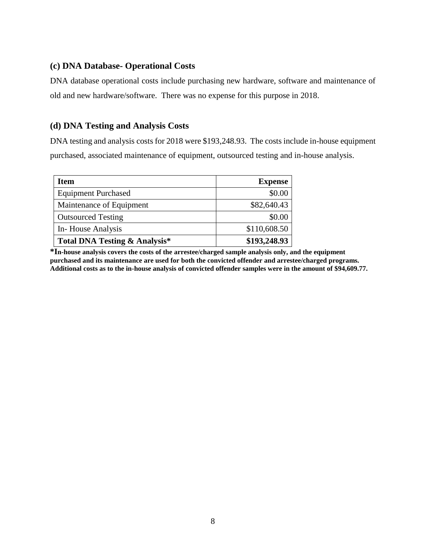#### **(c) DNA Database- Operational Costs**

DNA database operational costs include purchasing new hardware, software and maintenance of old and new hardware/software. There was no expense for this purpose in 2018.

#### **(d) DNA Testing and Analysis Costs**

DNA testing and analysis costs for 2018 were \$193,248.93. The costs include in-house equipment purchased, associated maintenance of equipment, outsourced testing and in-house analysis.

| <b>Item</b>                              | <b>Expense</b> |
|------------------------------------------|----------------|
| <b>Equipment Purchased</b>               | \$0.00         |
| Maintenance of Equipment                 | \$82,640.43    |
| <b>Outsourced Testing</b>                | \$0.00         |
| In-House Analysis                        | \$110,608.50   |
| <b>Total DNA Testing &amp; Analysis*</b> | \$193,248.93   |

**\*In-house analysis covers the costs of the arrestee/charged sample analysis only, and the equipment purchased and its maintenance are used for both the convicted offender and arrestee/charged programs. Additional costs as to the in-house analysis of convicted offender samples were in the amount of \$94,609.77.**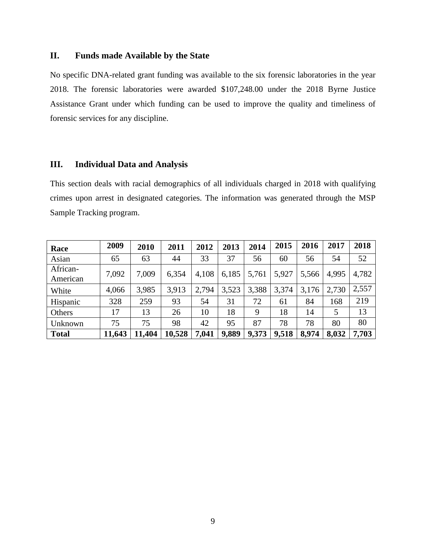#### **II. Funds made Available by the State**

No specific DNA-related grant funding was available to the six forensic laboratories in the year 2018. The forensic laboratories were awarded \$107,248.00 under the 2018 Byrne Justice Assistance Grant under which funding can be used to improve the quality and timeliness of forensic services for any discipline.

#### **III. Individual Data and Analysis**

This section deals with racial demographics of all individuals charged in 2018 with qualifying crimes upon arrest in designated categories. The information was generated through the MSP Sample Tracking program.

| Race                 | 2009   | 2010   | 2011   | 2012  | 2013  | 2014  | 2015  | 2016  | 2017  | 2018  |
|----------------------|--------|--------|--------|-------|-------|-------|-------|-------|-------|-------|
| Asian                | 65     | 63     | 44     | 33    | 37    | 56    | 60    | 56    | 54    | 52    |
| African-<br>American | 7,092  | 7,009  | 6,354  | 4,108 | 6,185 | 5,761 | 5,927 | 5,566 | 4,995 | 4,782 |
| White                | 4,066  | 3,985  | 3,913  | 2,794 | 3,523 | 3,388 | 3,374 | 3,176 | 2,730 | 2,557 |
| Hispanic             | 328    | 259    | 93     | 54    | 31    | 72    | 61    | 84    | 168   | 219   |
| Others               | 17     | 13     | 26     | 10    | 18    | 9     | 18    | 14    | 5     | 13    |
| Unknown              | 75     | 75     | 98     | 42    | 95    | 87    | 78    | 78    | 80    | 80    |
| <b>Total</b>         | 11,643 | 11,404 | 10,528 | 7,041 | 9,889 | 9,373 | 9,518 | 8,974 | 8,032 | 7,703 |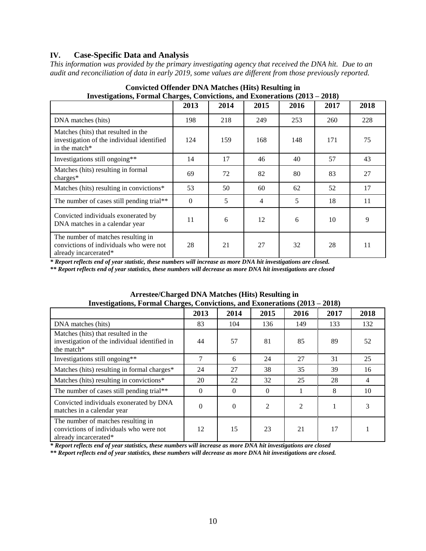#### **IV. Case-Specific Data and Analysis**

*This information was provided by the primary investigating agency that received the DNA hit. Due to an audit and reconciliation of data in early 2019, some values are different from those previously reported.*

| Investigations, Formal Charges, Convictions, and Exonerations (2015 – 2010)                            |          |      |      |      |      |      |  |
|--------------------------------------------------------------------------------------------------------|----------|------|------|------|------|------|--|
|                                                                                                        | 2013     | 2014 | 2015 | 2016 | 2017 | 2018 |  |
| DNA matches (hits)                                                                                     | 198      | 218  | 249  | 253  | 260  | 228  |  |
| Matches (hits) that resulted in the<br>investigation of the individual identified<br>in the match*     | 124      | 159  | 168  | 148  | 171  | 75   |  |
| Investigations still ongoing**                                                                         | 14       | 17   | 46   | 40   | 57   | 43   |  |
| Matches (hits) resulting in formal<br>charges*                                                         | 69       | 72   | 82   | 80   | 83   | 27   |  |
| Matches (hits) resulting in convictions*                                                               | 53       | 50   | 60   | 62   | 52   | 17   |  |
| The number of cases still pending trial**                                                              | $\Omega$ | 5    | 4    | 5    | 18   | 11   |  |
| Convicted individuals exonerated by<br>DNA matches in a calendar year                                  | 11       | 6    | 12   | 6    | 10   | 9    |  |
| The number of matches resulting in<br>convictions of individuals who were not<br>already incarcerated* | 28       | 21   | 27   | 32   | 28   | 11   |  |

#### **Convicted Offender DNA Matches (Hits) Resulting in Investigations, Formal Charges, Convictions, and Exonerations (2013 – 2018)**

*\* Report reflects end of year statistic, these numbers will increase as more DNA hit investigations are closed.*

*\*\* Report reflects end of year statistics, these numbers will decrease as more DNA hit investigations are closed*

| Investigations, Formal Charges, Convictions, and Exonerations (2013 – 2018)                            |          |          |                |                |      |                |  |
|--------------------------------------------------------------------------------------------------------|----------|----------|----------------|----------------|------|----------------|--|
|                                                                                                        | 2013     | 2014     | 2015           | 2016           | 2017 | 2018           |  |
| DNA matches (hits)                                                                                     | 83       | 104      | 136            | 149            | 133  | 132            |  |
| Matches (hits) that resulted in the<br>investigation of the individual identified in<br>the match*     | 44       | 57       | 81             | 85             | 89   | 52             |  |
| Investigations still ongoing**                                                                         | 7        | 6        | 24             | 27             | 31   | 25             |  |
| Matches (hits) resulting in formal charges*                                                            | 24       | 27       | 38             | 35             | 39   | 16             |  |
| Matches (hits) resulting in convictions*                                                               | 20       | 22       | 32             | 25             | 28   | $\overline{4}$ |  |
| The number of cases still pending trial**                                                              | $\Omega$ | $\Omega$ | $\Omega$       |                | 8    | 10             |  |
| Convicted individuals exonerated by DNA<br>matches in a calendar year                                  | $\Omega$ | $\Omega$ | $\overline{2}$ | $\overline{c}$ |      |                |  |
| The number of matches resulting in<br>convictions of individuals who were not<br>already incarcerated* | 12       | 15       | 23             | 21             | 17   |                |  |

## **Arrestee/Charged DNA Matches (Hits) Resulting in**

*\* Report reflects end of year statistics, these numbers will increase as more DNA hit investigations are closed*

*\*\* Report reflects end of year statistics, these numbers will decrease as more DNA hit investigations are closed.*